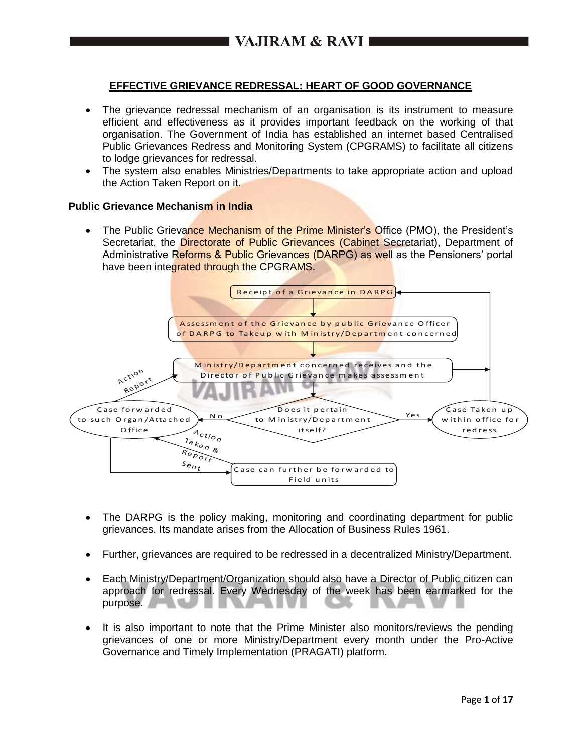# **EFFECTIVE GRIEVANCE REDRESSAL: HEART OF GOOD GOVERNANCE**

- The grievance redressal mechanism of an organisation is its instrument to measure efficient and effectiveness as it provides important feedback on the working of that organisation. The Government of India has established an internet based Centralised Public Grievances Redress and Monitoring System (CPGRAMS) to facilitate all citizens to lodge grievances for redressal.
- The system also enables Ministries/Departments to take appropriate action and upload the Action Taken Report on it.

#### **Public Grievance Mechanism in India**

 The Public Grievance Mechanism of the Prime Minister's Office (PMO), the President's Secretariat, the Directorate of Public Grievances (Cabinet Secretariat), Department of Administrative Reforms & Public Grievances (DARPG) as well as the Pensioners' portal have been integrated through the CPGRAMS.



- The DARPG is the policy making, monitoring and coordinating department for public grievances. Its mandate arises from the Allocation of Business Rules 1961.
- Further, grievances are required to be redressed in a decentralized Ministry/Department.
- Each Ministry/Department/Organization should also have a Director of Public citizen can approach for redressal. Every Wednesday of the week has been earmarked for the purpose.
- It is also important to note that the Prime Minister also monitors/reviews the pending grievances of one or more Ministry/Department every month under the Pro-Active Governance and Timely Implementation (PRAGATI) platform.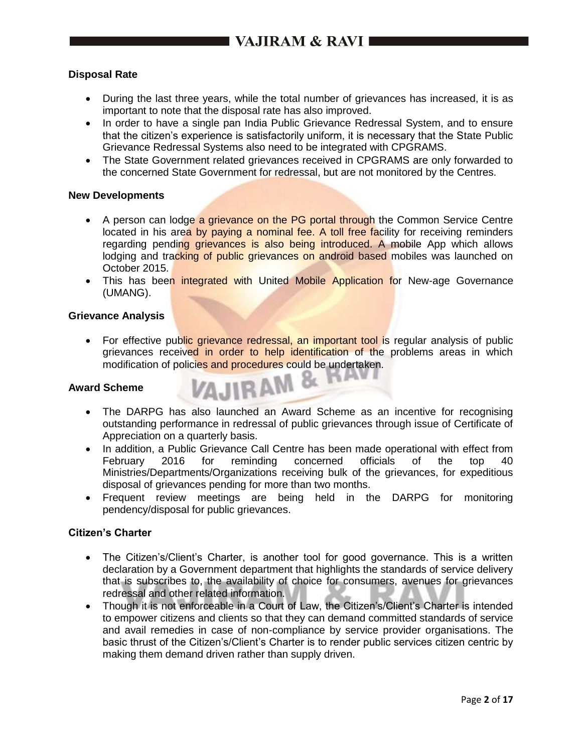## **Disposal Rate**

- During the last three years, while the total number of grievances has increased, it is as important to note that the disposal rate has also improved.
- In order to have a single pan India Public Grievance Redressal System, and to ensure that the citizen's experience is satisfactorily uniform, it is necessary that the State Public Grievance Redressal Systems also need to be integrated with CPGRAMS.
- The State Government related grievances received in CPGRAMS are only forwarded to the concerned State Government for redressal, but are not monitored by the Centres.

#### **New Developments**

- A person can lodge a grievance on the PG portal through the Common Service Centre located in his area by paying a nominal fee. A toll free facility for receiving reminders regarding pending grievances is also being introduced. A mobile App which allows lodging and tracking of public grievances on android based mobiles was launched on October 2015.
- This has been integrated with United Mobile Application for New-age Governance (UMANG).

#### **Grievance Analysis**

• For effective public grievance redressal, an important tool is regular analysis of public grievances received in order to help identification of the problems areas in which modification of policies and procedures could be undertaken.

VAJIRAM &

#### **Award Scheme**

- The DARPG has also launched an Award Scheme as an incentive for recognising outstanding performance in redressal of public grievances through issue of Certificate of Appreciation on a quarterly basis.
- In addition, a Public Grievance Call Centre has been made operational with effect from February 2016 for reminding concerned officials of the top 40 Ministries/Departments/Organizations receiving bulk of the grievances, for expeditious disposal of grievances pending for more than two months.
- Frequent review meetings are being held in the DARPG for monitoring pendency/disposal for public grievances.

#### **Citizen's Charter**

- The Citizen's/Client's Charter, is another tool for good governance. This is a written declaration by a Government department that highlights the standards of service delivery that is subscribes to, the availability of choice for consumers, avenues for grievances redressal and other related information.
- Though it is not enforceable in a Court of Law, the Citizen's/Client's Charter is intended to empower citizens and clients so that they can demand committed standards of service and avail remedies in case of non-compliance by service provider organisations. The basic thrust of the Citizen's/Client's Charter is to render public services citizen centric by making them demand driven rather than supply driven.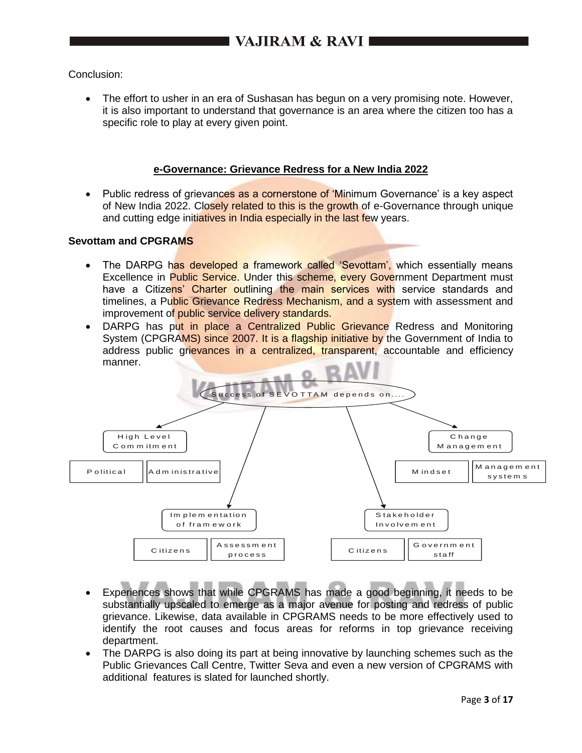Conclusion:

 The effort to usher in an era of Sushasan has begun on a very promising note. However, it is also important to understand that governance is an area where the citizen too has a specific role to play at every given point.

#### **e-Governance: Grievance Redress for a New India 2022**

Public redress of grievances as a cornerstone of 'Minimum Governance' is a key aspect of New India 2022. Closely related to this is the growth of e-Governance through unique and cutting edge initiatives in India especially in the last few years.

#### **Sevottam and CPGRAMS**

- The DARPG has developed a framework called 'Sevottam', which essentially means Excellence in Public Service. Under this scheme, every Government Department must have a Citizens' Charter outlining the main services with service standards and timelines, a Public Grievance Redress Mechanism, and a system with assessment and improvement of public service delivery standards.
- DARPG has put in place a Centralized Public Grievance Redress and Monitoring System (CPGRAMS) since 2007. It is a flagship initiative by the Government of India to address public grievances in a centralized, transparent, accountable and efficiency manner.



- Experiences shows that while CPGRAMS has made a good beginning, it needs to be substantially upscaled to emerge as a major avenue for posting and redress of public grievance. Likewise, data available in CPGRAMS needs to be more effectively used to identify the root causes and focus areas for reforms in top grievance receiving department.
- The DARPG is also doing its part at being innovative by launching schemes such as the Public Grievances Call Centre, Twitter Seva and even a new version of CPGRAMS with additional features is slated for launched shortly.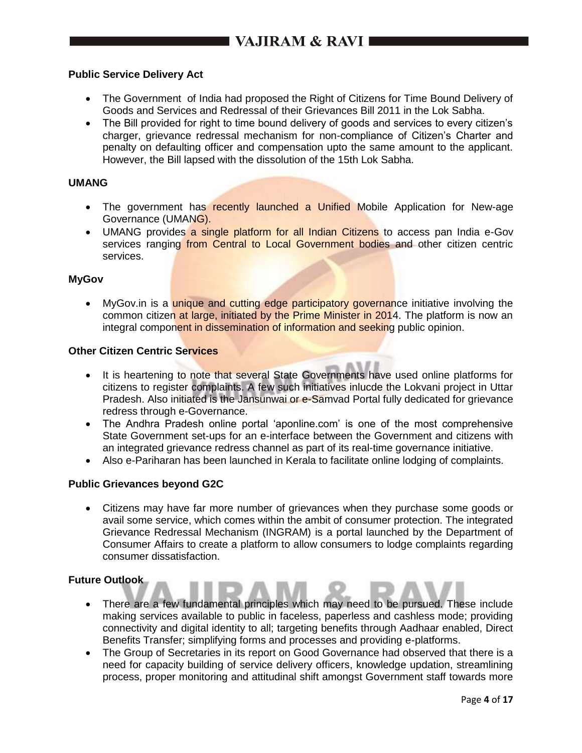#### **Public Service Delivery Act**

- The Government of India had proposed the Right of Citizens for Time Bound Delivery of Goods and Services and Redressal of their Grievances Bill 2011 in the Lok Sabha.
- The Bill provided for right to time bound delivery of goods and services to every citizen's charger, grievance redressal mechanism for non-compliance of Citizen's Charter and penalty on defaulting officer and compensation upto the same amount to the applicant. However, the Bill lapsed with the dissolution of the 15th Lok Sabha.

#### **UMANG**

- The government has recently launched a Unified Mobile Application for New-age Governance (UMANG).
- UMANG provides a single platform for all Indian Citizens to access pan India e-Gov services ranging from Central to Local Government bodies and other citizen centric services.

#### **MyGov**

• MyGov.in is a unique and cutting edge participatory governance initiative involving the common citizen at large, initiated by the Prime Minister in 2014. The platform is now an integral component in dissemination of information and seeking public opinion.

#### **Other Citizen Centric Services**

- It is heartening to note that several State Governments have used online platforms for citizens to register complaints. A few such initiatives inlucde the Lokvani project in Uttar Pradesh. Also initiated is the Jansunwai or e-Samvad Portal fully dedicated for grievance redress through e-Governance.
- The Andhra Pradesh online portal 'aponline.com' is one of the most comprehensive State Government set-ups for an e-interface between the Government and citizens with an integrated grievance redress channel as part of its real-time governance initiative.
- Also e-Pariharan has been launched in Kerala to facilitate online lodging of complaints.

#### **Public Grievances beyond G2C**

 Citizens may have far more number of grievances when they purchase some goods or avail some service, which comes within the ambit of consumer protection. The integrated Grievance Redressal Mechanism (INGRAM) is a portal launched by the Department of Consumer Affairs to create a platform to allow consumers to lodge complaints regarding consumer dissatisfaction.

#### **Future Outlook**

- There are a few fundamental principles which may need to be pursued. These include making services available to public in faceless, paperless and cashless mode; providing connectivity and digital identity to all; targeting benefits through Aadhaar enabled, Direct Benefits Transfer; simplifying forms and processes and providing e-platforms.
- The Group of Secretaries in its report on Good Governance had observed that there is a need for capacity building of service delivery officers, knowledge updation, streamlining process, proper monitoring and attitudinal shift amongst Government staff towards more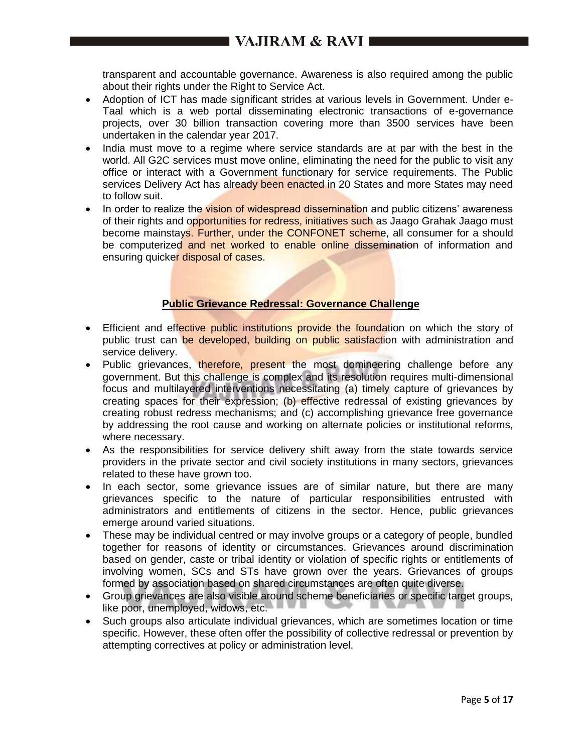transparent and accountable governance. Awareness is also required among the public about their rights under the Right to Service Act.

- Adoption of ICT has made significant strides at various levels in Government. Under e-Taal which is a web portal disseminating electronic transactions of e-governance projects, over 30 billion transaction covering more than 3500 services have been undertaken in the calendar year 2017.
- India must move to a regime where service standards are at par with the best in the world. All G2C services must move online, eliminating the need for the public to visit any office or interact with a Government functionary for service requirements. The Public services Delivery Act has already been enacted in 20 States and more States may need to follow suit.
- In order to realize the vision of widespread dissemination and public citizens' awareness of their rights and opportunities for redress, initiatives such as Jaago Grahak Jaago must become mainstays. Further, under the CONFONET scheme, all consumer for a should be computerized and net worked to enable online dissemination of information and ensuring quicker disposal of cases.

# **Public Grievance Redressal: Governance Challenge**

- Efficient and effective public institutions provide the foundation on which the story of public trust can be developed, building on public satisfaction with administration and service delivery.
- Public grievances, therefore, present the most domineering challenge before any government. But this challenge is complex and its resolution requires multi-dimensional focus and multilayered interventions necessitating (a) timely capture of grievances by creating spaces for their expression; (b) effective redressal of existing grievances by creating robust redress mechanisms; and (c) accomplishing grievance free governance by addressing the root cause and working on alternate policies or institutional reforms, where necessary.
- As the responsibilities for service delivery shift away from the state towards service providers in the private sector and civil society institutions in many sectors, grievances related to these have grown too.
- In each sector, some grievance issues are of similar nature, but there are many grievances specific to the nature of particular responsibilities entrusted with administrators and entitlements of citizens in the sector. Hence, public grievances emerge around varied situations.
- These may be individual centred or may involve groups or a category of people, bundled together for reasons of identity or circumstances. Grievances around discrimination based on gender, caste or tribal identity or violation of specific rights or entitlements of involving women, SCs and STs have grown over the years. Grievances of groups formed by association based on shared circumstances are often quite diverse.
- Group grievances are also visible around scheme beneficiaries or specific target groups, like poor, unemployed, widows, etc.
- Such groups also articulate individual grievances, which are sometimes location or time specific. However, these often offer the possibility of collective redressal or prevention by attempting correctives at policy or administration level.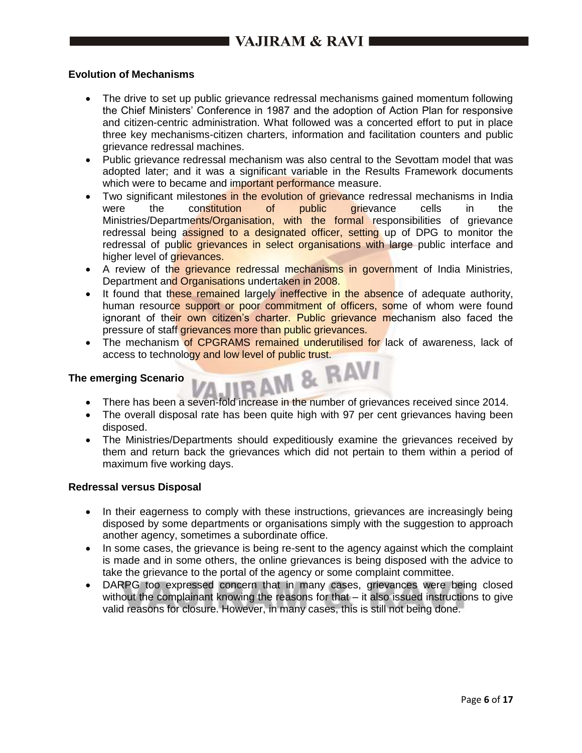### **Evolution of Mechanisms**

- The drive to set up public grievance redressal mechanisms gained momentum following the Chief Ministers' Conference in 1987 and the adoption of Action Plan for responsive and citizen-centric administration. What followed was a concerted effort to put in place three key mechanisms-citizen charters, information and facilitation counters and public grievance redressal machines.
- Public grievance redressal mechanism was also central to the Sevottam model that was adopted later; and it was a significant variable in the Results Framework documents which were to became and important performance measure.
- Two significant milestones in the evolution of grievance redressal mechanisms in India were the constitution of public grievance cells in the Ministries/Departments/Organisation, with the formal responsibilities of grievance redressal being assigned to a designated officer, setting up of DPG to monitor the redressal of public grievances in select organisations with large public interface and higher level of grievances.
- A review of the grievance redressal mechanisms in government of India Ministries, Department and Organisations undertaken in 2008.
- It found that these remained largely ineffective in the absence of adequate authority, human resource support or poor commitment of officers, some of whom were found ignorant of their own citizen's charter. Public grievance mechanism also faced the pressure of staff grievances more than public grievances.
- The mechanism of CPGRAMS remained underutilised for lack of awareness, lack of access to technology and low level of public trust.<br>nerging Scenario

#### **The emerging Scenario**

- There has been a seven-fold increase in the number of grievances received since 2014.
- The overall disposal rate has been quite high with 97 per cent grievances having been disposed.
- The Ministries/Departments should expeditiously examine the grievances received by them and return back the grievances which did not pertain to them within a period of maximum five working days.

#### **Redressal versus Disposal**

- In their eagerness to comply with these instructions, grievances are increasingly being disposed by some departments or organisations simply with the suggestion to approach another agency, sometimes a subordinate office.
- In some cases, the grievance is being re-sent to the agency against which the complaint is made and in some others, the online grievances is being disposed with the advice to take the grievance to the portal of the agency or some complaint committee.
- DARPG too expressed concern that in many cases, grievances were being closed without the complainant knowing the reasons for that – it also issued instructions to give valid reasons for closure. However, in many cases, this is still not being done.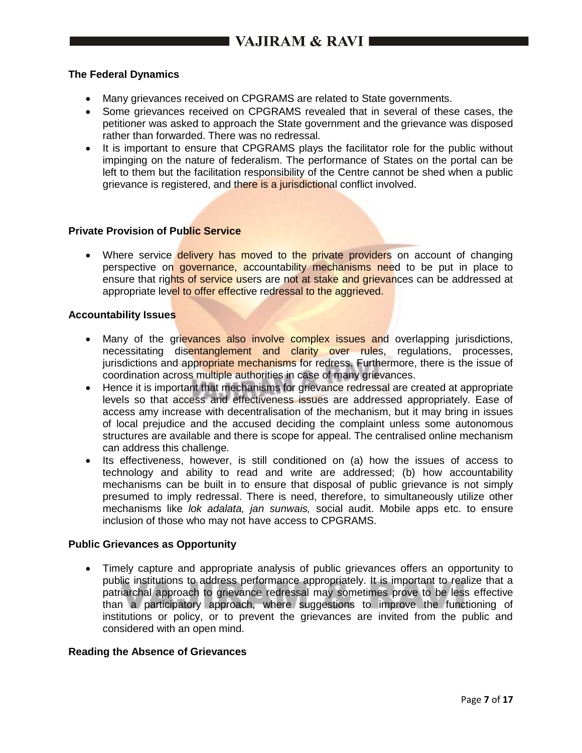#### **The Federal Dynamics**

- Many grievances received on CPGRAMS are related to State governments.
- Some grievances received on CPGRAMS revealed that in several of these cases, the petitioner was asked to approach the State government and the grievance was disposed rather than forwarded. There was no redressal.
- It is important to ensure that CPGRAMS plays the facilitator role for the public without impinging on the nature of federalism. The performance of States on the portal can be left to them but the facilitation responsibility of the Centre cannot be shed when a public grievance is registered, and there is a jurisdictional conflict involved.

#### **Private Provision of Public Service**

• Where service delivery has moved to the private providers on account of changing perspective on governance, accountability mechanisms need to be put in place to ensure that rights of service users are not at stake and grievances can be addressed at appropriate level to offer effective redressal to the aggrieved.

#### **Accountability Issues**

- Many of the grievances also involve complex issues and overlapping jurisdictions, necessitating disentanglement and clarity over rules, regulations, processes, jurisdictions and appropriate mechanisms for redress. Furthermore, there is the issue of coordination across multiple authorities in case of many grievances.
- Hence it is important that mechanisms for grievance redressal are created at appropriate levels so that access and effectiveness issues are addressed appropriately. Ease of access amy increase with decentralisation of the mechanism, but it may bring in issues of local prejudice and the accused deciding the complaint unless some autonomous structures are available and there is scope for appeal. The centralised online mechanism can address this challenge.
- Its effectiveness, however, is still conditioned on (a) how the issues of access to technology and ability to read and write are addressed; (b) how accountability mechanisms can be built in to ensure that disposal of public grievance is not simply presumed to imply redressal. There is need, therefore, to simultaneously utilize other mechanisms like *lok adalata, jan sunwais,* social audit. Mobile apps etc. to ensure inclusion of those who may not have access to CPGRAMS.

#### **Public Grievances as Opportunity**

 Timely capture and appropriate analysis of public grievances offers an opportunity to public institutions to address performance appropriately. It is important to realize that a patriarchal approach to grievance redressal may sometimes prove to be less effective than a participatory approach, where suggestions to improve the functioning of institutions or policy, or to prevent the grievances are invited from the public and considered with an open mind.

#### **Reading the Absence of Grievances**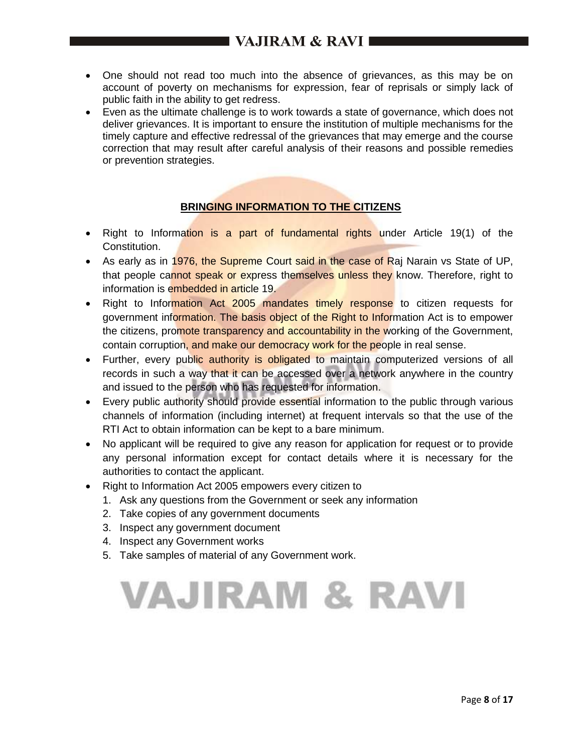- One should not read too much into the absence of grievances, as this may be on account of poverty on mechanisms for expression, fear of reprisals or simply lack of public faith in the ability to get redress.
- Even as the ultimate challenge is to work towards a state of governance, which does not deliver grievances. It is important to ensure the institution of multiple mechanisms for the timely capture and effective redressal of the grievances that may emerge and the course correction that may result after careful analysis of their reasons and possible remedies or prevention strategies.

# **BRINGING INFORMATION TO THE CITIZENS**

- Right to Information is a part of fundamental rights under Article 19(1) of the Constitution.
- As early as in 1976, the Supreme Court said in the case of Raj Narain vs State of UP, that people cannot speak or express themselves unless they know. Therefore, right to information is embedded in article 19.
- Right to Information Act 2005 mandates timely response to citizen requests for government information. The basis object of the Right to Information Act is to empower the citizens, promote transparency and accountability in the working of the Government, contain corruption, and make our democracy work for the people in real sense.
- Further, every public authority is obligated to maintain computerized versions of all records in such a way that it can be accessed over a network anywhere in the country and issued to the person who has requested for information.
- Every public authority should provide essential information to the public through various channels of information (including internet) at frequent intervals so that the use of the RTI Act to obtain information can be kept to a bare minimum.
- No applicant will be required to give any reason for application for request or to provide any personal information except for contact details where it is necessary for the authorities to contact the applicant.
- Right to Information Act 2005 empowers every citizen to
	- 1. Ask any questions from the Government or seek any information
	- 2. Take copies of any government documents
	- 3. Inspect any government document
	- 4. Inspect any Government works
	- 5. Take samples of material of any Government work.

# **VAJIRAM & RAVI**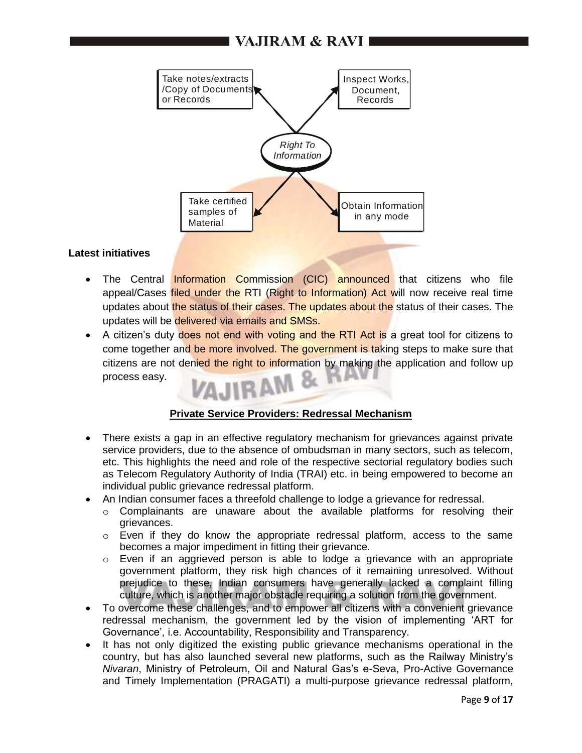# I VAJIRAM & RAVI ■



#### **Latest initiatives**

- The Central Information Commission (CIC) announced that citizens who file appeal/Cases filed under the RTI (Right to Information) Act will now receive real time updates about the status of their cases. The updates about the status of their cases. The updates will be delivered via emails and SMSs.
- A citizen's duty does not end with voting and the RTI Act is a great tool for citizens to come together and be more involved. The government is taking steps to make sure that citizens are not denied the right to information by making the application and follow up process easy.

### **Private Service Providers: Redressal Mechanism**

- There exists a gap in an effective regulatory mechanism for grievances against private service providers, due to the absence of ombudsman in many sectors, such as telecom, etc. This highlights the need and role of the respective sectorial regulatory bodies such as Telecom Regulatory Authority of India (TRAI) etc. in being empowered to become an individual public grievance redressal platform.
- An Indian consumer faces a threefold challenge to lodge a grievance for redressal.
	- $\circ$  Complainants are unaware about the available platforms for resolving their grievances.
	- $\circ$  Even if they do know the appropriate redressal platform, access to the same becomes a major impediment in fitting their grievance.
	- $\circ$  Even if an aggrieved person is able to lodge a grievance with an appropriate government platform, they risk high chances of it remaining unresolved. Without prejudice to these, Indian consumers have generally lacked a complaint filling culture, which is another major obstacle requiring a solution from the government.
- To overcome these challenges, and to empower all citizens with a convenient grievance redressal mechanism, the government led by the vision of implementing 'ART for Governance', i.e. Accountability, Responsibility and Transparency.
- It has not only digitized the existing public grievance mechanisms operational in the country, but has also launched several new platforms, such as the Railway Ministry's *Nivaran*, Ministry of Petroleum, Oil and Natural Gas's e-Seva, Pro-Active Governance and Timely Implementation (PRAGATI) a multi-purpose grievance redressal platform,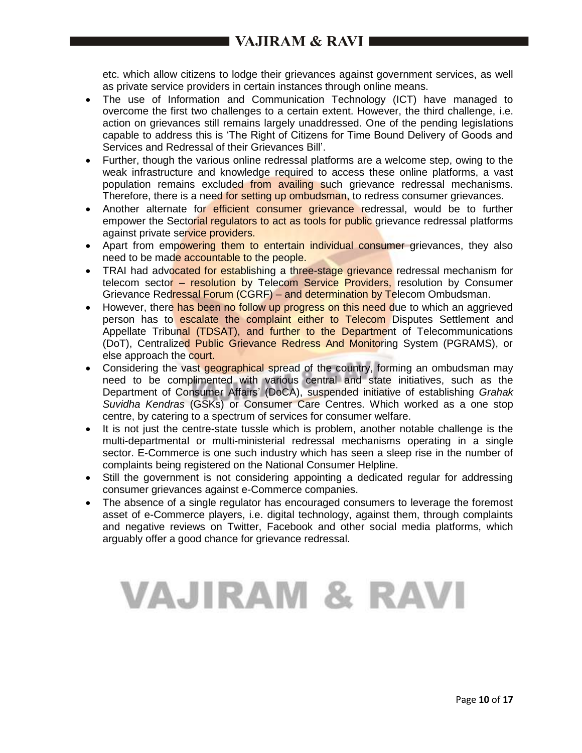etc. which allow citizens to lodge their grievances against government services, as well as private service providers in certain instances through online means.

- The use of Information and Communication Technology (ICT) have managed to overcome the first two challenges to a certain extent. However, the third challenge, i.e. action on grievances still remains largely unaddressed. One of the pending legislations capable to address this is 'The Right of Citizens for Time Bound Delivery of Goods and Services and Redressal of their Grievances Bill'.
- Further, though the various online redressal platforms are a welcome step, owing to the weak infrastructure and knowledge required to access these online platforms, a vast population remains excluded from availing such grievance redressal mechanisms. Therefore, there is a need for setting up ombudsman, to redress consumer grievances.
- Another alternate for efficient consumer grievance redressal, would be to further empower the Sectorial regulators to act as tools for public grievance redressal platforms against private service providers.
- Apart from empowering them to entertain individual consumer grievances, they also need to be made accountable to the people.
- TRAI had advocated for establishing a three-stage grievance redressal mechanism for telecom sector – resolution by Telecom Service Providers, resolution by Consumer Grievance Redressal Forum (CGRF) – and determination by Telecom Ombudsman.
- However, there has been no follow up progress on this need due to which an aggrieved person has to escalate the complaint either to Telecom Disputes Settlement and Appellate Tribunal (TDSAT), and further to the Department of Telecommunications (DoT), Centralized Public Grievance Redress And Monitoring System (PGRAMS), or else approach the court.
- Considering the vast geographical spread of the country, forming an ombudsman may need to be complimented with various central and state initiatives, such as the Department of Consumer Affairs' (DoCA), suspended initiative of establishing *Grahak Suvidha Kendras* (GSKs) or Consumer Care Centres. Which worked as a one stop centre, by catering to a spectrum of services for consumer welfare.
- It is not just the centre-state tussle which is problem, another notable challenge is the multi-departmental or multi-ministerial redressal mechanisms operating in a single sector. E-Commerce is one such industry which has seen a sleep rise in the number of complaints being registered on the National Consumer Helpline.
- Still the government is not considering appointing a dedicated regular for addressing consumer grievances against e-Commerce companies.
- The absence of a single regulator has encouraged consumers to leverage the foremost asset of e-Commerce players, i.e. digital technology, against them, through complaints and negative reviews on Twitter, Facebook and other social media platforms, which arguably offer a good chance for grievance redressal.

# VAJIRAM & RAVI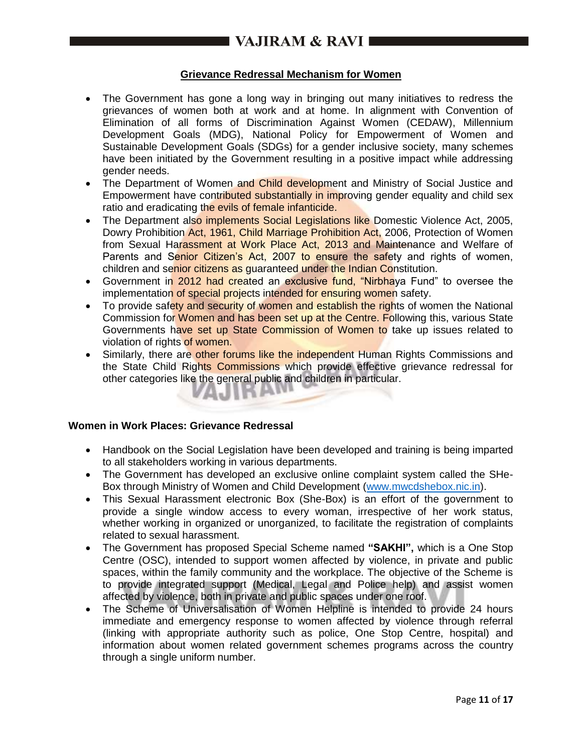## **Grievance Redressal Mechanism for Women**

- The Government has gone a long way in bringing out many initiatives to redress the grievances of women both at work and at home. In alignment with Convention of Elimination of all forms of Discrimination Against Women (CEDAW), Millennium Development Goals (MDG), National Policy for Empowerment of Women and Sustainable Development Goals (SDGs) for a gender inclusive society, many schemes have been initiated by the Government resulting in a positive impact while addressing gender needs.
- The Department of Women and Child development and Ministry of Social Justice and Empowerment have contributed substantially in improving gender equality and child sex ratio and eradicating the evils of female infanticide.
- The Department also implements Social Legislations like Domestic Violence Act, 2005, Dowry Prohibition Act, 1961, Child Marriage Prohibition Act, 2006, Protection of Women from Sexual Harassment at Work Place Act, 2013 and Maintenance and Welfare of Parents and Senior Citizen's Act, 2007 to ensure the safety and rights of women, children and senior citizens as guaranteed under the Indian Constitution.
- Government in 2012 had created an exclusive fund, "Nirbhaya Fund" to oversee the implementation of special projects intended for ensuring women safety.
- To provide safety and security of women and establish the rights of women the National Commission for Women and has been set up at the Centre. Following this, various State Governments have set up State Commission of Women to take up issues related to violation of rights of women.
- Similarly, there are other forums like the independent Human Rights Commissions and the State Child Rights Commissions which provide effective grievance redressal for other categories like the general public and children in particular.

## **Women in Work Places: Grievance Redressal**

- Handbook on the Social Legislation have been developed and training is being imparted to all stakeholders working in various departments.
- The Government has developed an exclusive online complaint system called the SHe-Box through Ministry of Women and Child Development [\(www.mwcdshebox.nic.in\)](http://www.mwcdshebox.nic.in/).
- This Sexual Harassment electronic Box (She-Box) is an effort of the government to provide a single window access to every woman, irrespective of her work status, whether working in organized or unorganized, to facilitate the registration of complaints related to sexual harassment.
- The Government has proposed Special Scheme named **"SAKHI",** which is a One Stop Centre (OSC), intended to support women affected by violence, in private and public spaces, within the family community and the workplace. The objective of the Scheme is to provide integrated support (Medical, Legal and Police help) and assist women affected by violence, both in private and public spaces under one roof.
- The Scheme of Universalisation of Women Helpline is intended to provide 24 hours immediate and emergency response to women affected by violence through referral (linking with appropriate authority such as police, One Stop Centre, hospital) and information about women related government schemes programs across the country through a single uniform number.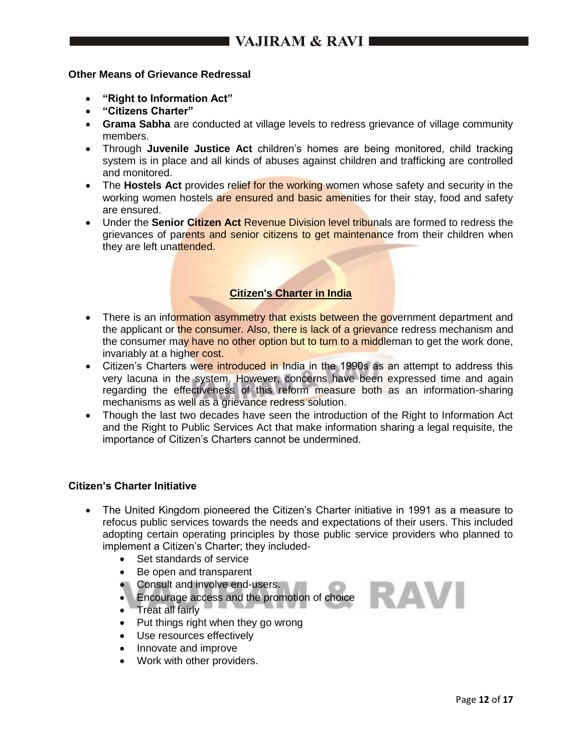#### **Other Means of Grievance Redressal**

- **"Right to Information Act"**
- **"Citizens Charter"**
- **Grama Sabha** are conducted at village levels to redress grievance of village community members.
- Through **Juvenile Justice Act** children's homes are being monitored, child tracking system is in place and all kinds of abuses against children and trafficking are controlled and monitored.
- The **Hostels Act** provides relief for the working women whose safety and security in the working women hostels are ensured and basic amenities for their stay, food and safety are ensured.
- Under the **Senior Citizen Act** Revenue Division level tribunals are formed to redress the grievances of parents and senior citizens to get maintenance from their children when they are left unattended.

### **Citizen's Charter in India**

- There is an information asymmetry that exists between the government department and the applicant or the consumer. Also, there is lack of a grievance redress mechanism and the consumer may have no other option but to turn to a middleman to get the work done, invariably at a higher cost.
- Citizen's Charters were introduced in India in the 1990s as an attempt to address this very lacuna in the system. However, concerns have been expressed time and again regarding the effectiveness of this reform measure both as an information-sharing mechanisms as well as a grievance redress solution.
- Though the last two decades have seen the introduction of the Right to Information Act and the Right to Public Services Act that make information sharing a legal requisite, the importance of Citizen's Charters cannot be undermined.

#### **Citizen's Charter Initiative**

- The United Kingdom pioneered the Citizen's Charter initiative in 1991 as a measure to refocus public services towards the needs and expectations of their users. This included adopting certain operating principles by those public service providers who planned to implement a Citizen's Charter; they included-
	- Set standards of service
	- Be open and transparent
	- Consult and involve end-users.
	- **Encourage access and the promotion of choice**
	- Treat all fairly
	- Put things right when they go wrong
	- Use resources effectively
	- Innovate and improve
	- Work with other providers.

RAVI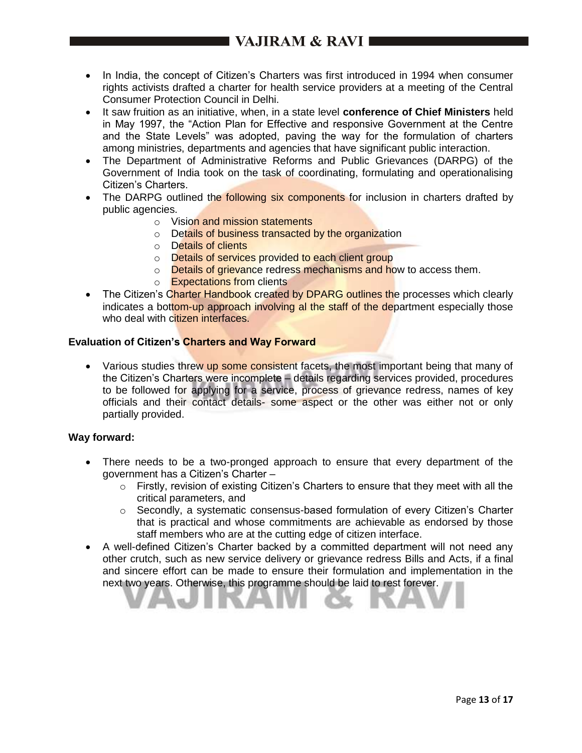- In India, the concept of Citizen's Charters was first introduced in 1994 when consumer rights activists drafted a charter for health service providers at a meeting of the Central Consumer Protection Council in Delhi.
- It saw fruition as an initiative, when, in a state level **conference of Chief Ministers** held in May 1997, the "Action Plan for Effective and responsive Government at the Centre and the State Levels" was adopted, paving the way for the formulation of charters among ministries, departments and agencies that have significant public interaction.
- The Department of Administrative Reforms and Public Grievances (DARPG) of the Government of India took on the task of coordinating, formulating and operationalising Citizen's Charters.
- The DARPG outlined the **following six components** for inclusion in charters drafted by public agencies.
	- o Vision and mission statements
	- o Details of business transacted by the organization
	- o Details of clients
	- o Details of services provided to each client group
	- o Details of grievance redress mechanisms and how to access them.
	- o Expectations from clients
- The Citizen's Charter Handbook created by DPARG outlines the processes which clearly indicates a bottom-up approach involving al the staff of the department especially those who deal with citizen interfaces.

#### **Evaluation of Citizen's Charters and Way Forward**

• Various studies threw up some consistent facets, the most important being that many of the Citizen's Charters were incomplete – details regarding services provided, procedures to be followed for applying for a service, process of grievance redress, names of key officials and their contact details- some aspect or the other was either not or only partially provided.

#### **Way forward:**

- There needs to be a two-pronged approach to ensure that every department of the government has a Citizen's Charter –
	- o Firstly, revision of existing Citizen's Charters to ensure that they meet with all the critical parameters, and
	- o Secondly, a systematic consensus-based formulation of every Citizen's Charter that is practical and whose commitments are achievable as endorsed by those staff members who are at the cutting edge of citizen interface.
- A well-defined Citizen's Charter backed by a committed department will not need any other crutch, such as new service delivery or grievance redress Bills and Acts, if a final and sincere effort can be made to ensure their formulation and implementation in the next two years. Otherwise, this programme should be laid to rest forever.

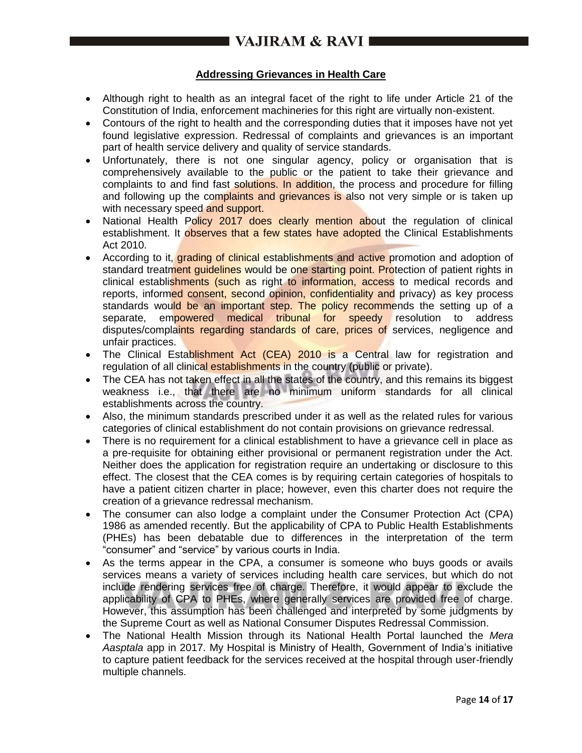## **Addressing Grievances in Health Care**

- Although right to health as an integral facet of the right to life under Article 21 of the Constitution of India, enforcement machineries for this right are virtually non-existent.
- Contours of the right to health and the corresponding duties that it imposes have not yet found legislative expression. Redressal of complaints and grievances is an important part of health service delivery and quality of service standards.
- Unfortunately, there is not one singular agency, policy or organisation that is comprehensively available to the public or the patient to take their grievance and complaints to and find fast solutions. In addition, the process and procedure for filling and following up the complaints and grievances is also not very simple or is taken up with necessary speed and support.
- National Health Policy 2017 does clearly mention about the regulation of clinical establishment. It observes that a few states have adopted the Clinical Establishments Act 2010.
- According to it, grading of clinical establishments and active promotion and adoption of standard treatment guidelines would be one starting point. Protection of patient rights in clinical establishments (such as right to information, access to medical records and reports, informed consent, second opinion, confidentiality and privacy) as key process standards would be an important step. The policy recommends the setting up of a separate, empowered medical tribunal for speedy resolution to address disputes/complaints regarding standards of care, prices of services, negligence and unfair practices.
- The Clinical Establishment Act (CEA) 2010 is a Central law for registration and regulation of all clinical establishments in the country (public or private).
- The CEA has not taken effect in all the states of the country, and this remains its biggest weakness i.e., that there are no minimum uniform standards for all clinical establishments across the country.
- Also, the minimum standards prescribed under it as well as the related rules for various categories of clinical establishment do not contain provisions on grievance redressal.
- There is no requirement for a clinical establishment to have a grievance cell in place as a pre-requisite for obtaining either provisional or permanent registration under the Act. Neither does the application for registration require an undertaking or disclosure to this effect. The closest that the CEA comes is by requiring certain categories of hospitals to have a patient citizen charter in place; however, even this charter does not require the creation of a grievance redressal mechanism.
- The consumer can also lodge a complaint under the Consumer Protection Act (CPA) 1986 as amended recently. But the applicability of CPA to Public Health Establishments (PHEs) has been debatable due to differences in the interpretation of the term "consumer" and "service" by various courts in India.
- As the terms appear in the CPA, a consumer is someone who buys goods or avails services means a variety of services including health care services, but which do not include rendering services free of charge. Therefore, it would appear to exclude the applicability of CPA to PHEs, where generally services are provided free of charge. However, this assumption has been challenged and interpreted by some judgments by the Supreme Court as well as National Consumer Disputes Redressal Commission.
- The National Health Mission through its National Health Portal launched the *Mera Aasptala* app in 2017. My Hospital is Ministry of Health, Government of India's initiative to capture patient feedback for the services received at the hospital through user-friendly multiple channels.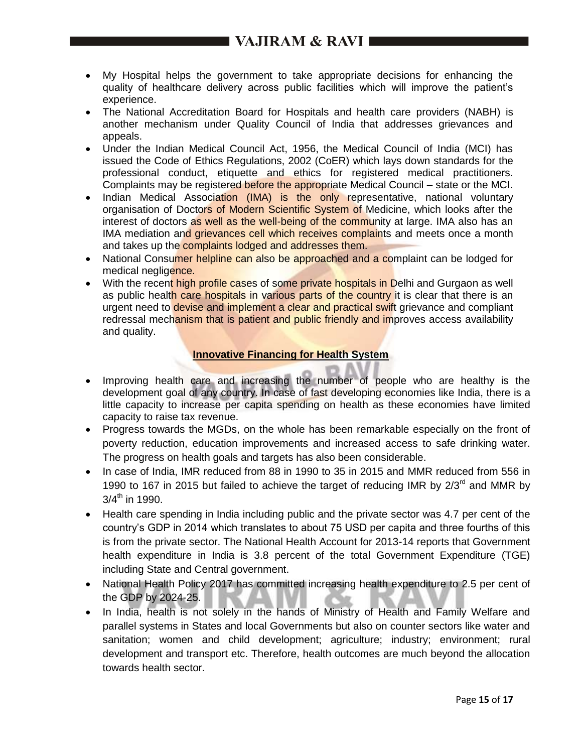# I VAJIRAM & RAVI 1

- My Hospital helps the government to take appropriate decisions for enhancing the quality of healthcare delivery across public facilities which will improve the patient's experience.
- The National Accreditation Board for Hospitals and health care providers (NABH) is another mechanism under Quality Council of India that addresses grievances and appeals.
- Under the Indian Medical Council Act, 1956, the Medical Council of India (MCI) has issued the Code of Ethics Regulations, 2002 (CoER) which lays down standards for the professional conduct, etiquette and ethics for registered medical practitioners. Complaints may be registered before the appropriate Medical Council – state or the MCI.
- Indian Medical Association (IMA) is the only representative, national voluntary organisation of Doctors of Modern Scientific System of Medicine, which looks after the interest of doctors as well as the well-being of the community at large. IMA also has an IMA mediation and grievances cell which receives complaints and meets once a month and takes up the complaints lodged and addresses them.
- National Consumer helpline can also be approached and a complaint can be lodged for medical negligence.
- With the recent high profile cases of some private hospitals in Delhi and Gurgaon as well as public health care hospitals in various parts of the country it is clear that there is an urgent need to devise and implement a clear and practical swift grievance and compliant redressal mechanism that is patient and public friendly and improves access availability and quality.

# **Innovative Financing for Health System**

- Improving health care and increasing the number of people who are healthy is the development goal of any country. In case of fast developing economies like India, there is a little capacity to increase per capita spending on health as these economies have limited capacity to raise tax revenue.
- Progress towards the MGDs, on the whole has been remarkable especially on the front of poverty reduction, education improvements and increased access to safe drinking water. The progress on health goals and targets has also been considerable.
- In case of India, IMR reduced from 88 in 1990 to 35 in 2015 and MMR reduced from 556 in 1990 to 167 in 2015 but failed to achieve the target of reducing IMR by  $2/3^{rd}$  and MMR by  $3/4$ <sup>th</sup> in 1990.
- Health care spending in India including public and the private sector was 4.7 per cent of the country's GDP in 2014 which translates to about 75 USD per capita and three fourths of this is from the private sector. The National Health Account for 2013-14 reports that Government health expenditure in India is 3.8 percent of the total Government Expenditure (TGE) including State and Central government.
- National Health Policy 2017 has committed increasing health expenditure to 2.5 per cent of the GDP by 2024-25.
- In India, health is not solely in the hands of Ministry of Health and Family Welfare and parallel systems in States and local Governments but also on counter sectors like water and sanitation; women and child development; agriculture; industry; environment; rural development and transport etc. Therefore, health outcomes are much beyond the allocation towards health sector.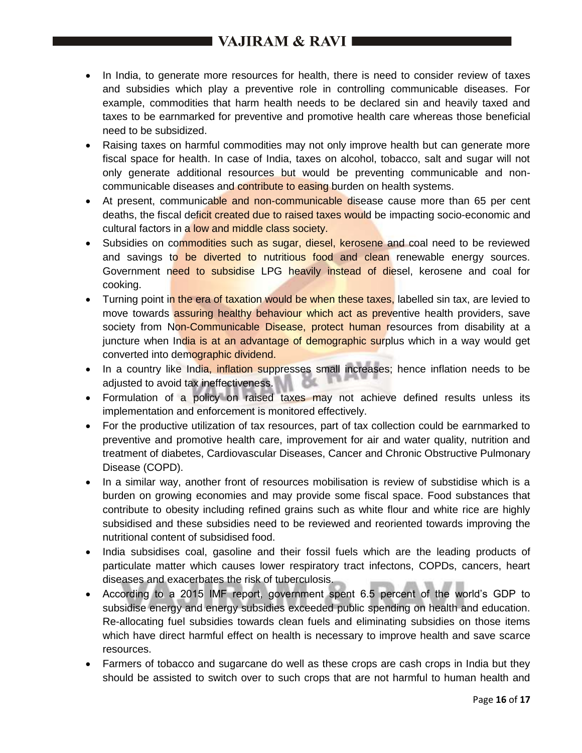# I VAJIRAM & RAVI ■

- In India, to generate more resources for health, there is need to consider review of taxes and subsidies which play a preventive role in controlling communicable diseases. For example, commodities that harm health needs to be declared sin and heavily taxed and taxes to be earnmarked for preventive and promotive health care whereas those beneficial need to be subsidized.
- Raising taxes on harmful commodities may not only improve health but can generate more fiscal space for health. In case of India, taxes on alcohol, tobacco, salt and sugar will not only generate additional resources but would be preventing communicable and noncommunicable diseases and contribute to easing burden on health systems.
- At present, communicable and non-communicable disease cause more than 65 per cent deaths, the fiscal deficit created due to raised taxes would be impacting socio-economic and cultural factors in a low and middle class society.
- Subsidies on commodities such as sugar, diesel, kerosene and coal need to be reviewed and savings to be diverted to nutritious food and clean renewable energy sources. Government need to subsidise LPG heavily instead of diesel, kerosene and coal for cooking.
- Turning point in the era of taxation would be when these taxes, labelled sin tax, are levied to move towards assuring healthy behaviour which act as preventive health providers, save society from Non-Communicable Disease, protect human resources from disability at a juncture when India is at an advantage of demographic surplus which in a way would get converted into demographic dividend.
- In a country like India, inflation suppresses small increases; hence inflation needs to be adjusted to avoid tax ineffectiveness.
- Formulation of a policy on raised taxes may not achieve defined results unless its implementation and enforcement is monitored effectively.
- For the productive utilization of tax resources, part of tax collection could be earnmarked to preventive and promotive health care, improvement for air and water quality, nutrition and treatment of diabetes, Cardiovascular Diseases, Cancer and Chronic Obstructive Pulmonary Disease (COPD).
- In a similar way, another front of resources mobilisation is review of substidise which is a burden on growing economies and may provide some fiscal space. Food substances that contribute to obesity including refined grains such as white flour and white rice are highly subsidised and these subsidies need to be reviewed and reoriented towards improving the nutritional content of subsidised food.
- India subsidises coal, gasoline and their fossil fuels which are the leading products of particulate matter which causes lower respiratory tract infectons, COPDs, cancers, heart diseases and exacerbates the risk of tuberculosis.
- According to a 2015 IMF report, government spent 6.5 percent of the world's GDP to subsidise energy and energy subsidies exceeded public spending on health and education. Re-allocating fuel subsidies towards clean fuels and eliminating subsidies on those items which have direct harmful effect on health is necessary to improve health and save scarce resources.
- Farmers of tobacco and sugarcane do well as these crops are cash crops in India but they should be assisted to switch over to such crops that are not harmful to human health and